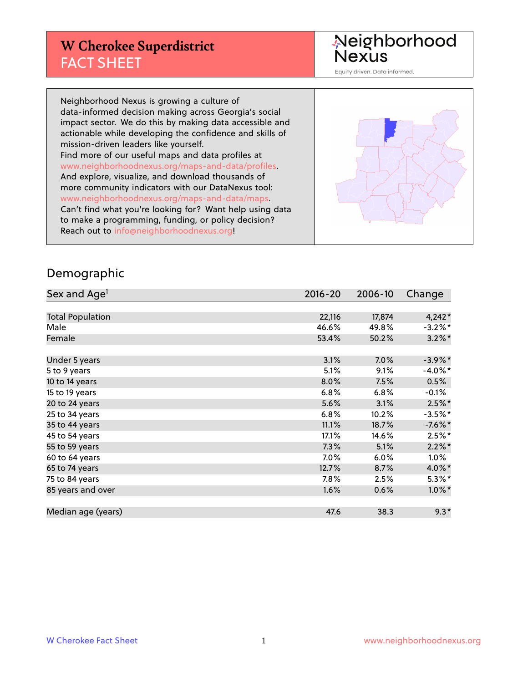# **W Cherokee Superdistrict** FACT SHEET

Neighborhood<br>Nexus

Equity driven. Data informed.

Neighborhood Nexus is growing a culture of data-informed decision making across Georgia's social impact sector. We do this by making data accessible and actionable while developing the confidence and skills of mission-driven leaders like yourself. Find more of our useful maps and data profiles at www.neighborhoodnexus.org/maps-and-data/profiles. And explore, visualize, and download thousands of more community indicators with our DataNexus tool: www.neighborhoodnexus.org/maps-and-data/maps. Can't find what you're looking for? Want help using data to make a programming, funding, or policy decision? Reach out to [info@neighborhoodnexus.org!](mailto:info@neighborhoodnexus.org)



#### Demographic

| Sex and Age <sup>1</sup> | 2016-20 | 2006-10 | Change     |
|--------------------------|---------|---------|------------|
|                          |         |         |            |
| <b>Total Population</b>  | 22,116  | 17,874  | $4,242*$   |
| Male                     | 46.6%   | 49.8%   | $-3.2%$ *  |
| Female                   | 53.4%   | 50.2%   | $3.2\%$ *  |
|                          |         |         |            |
| Under 5 years            | 3.1%    | 7.0%    | $-3.9\%$ * |
| 5 to 9 years             | 5.1%    | 9.1%    | $-4.0\%$ * |
| 10 to 14 years           | 8.0%    | 7.5%    | 0.5%       |
| 15 to 19 years           | 6.8%    | 6.8%    | $-0.1%$    |
| 20 to 24 years           | 5.6%    | 3.1%    | $2.5%$ *   |
| 25 to 34 years           | 6.8%    | 10.2%   | $-3.5%$ *  |
| 35 to 44 years           | 11.1%   | 18.7%   | $-7.6\%$ * |
| 45 to 54 years           | 17.1%   | 14.6%   | $2.5%$ *   |
| 55 to 59 years           | 7.3%    | 5.1%    | $2.2\%$ *  |
| 60 to 64 years           | 7.0%    | 6.0%    | 1.0%       |
| 65 to 74 years           | 12.7%   | 8.7%    | 4.0%*      |
| 75 to 84 years           | 7.8%    | 2.5%    | $5.3\%$ *  |
| 85 years and over        | 1.6%    | 0.6%    | $1.0\%$ *  |
|                          |         |         |            |
| Median age (years)       | 47.6    | 38.3    | $9.3*$     |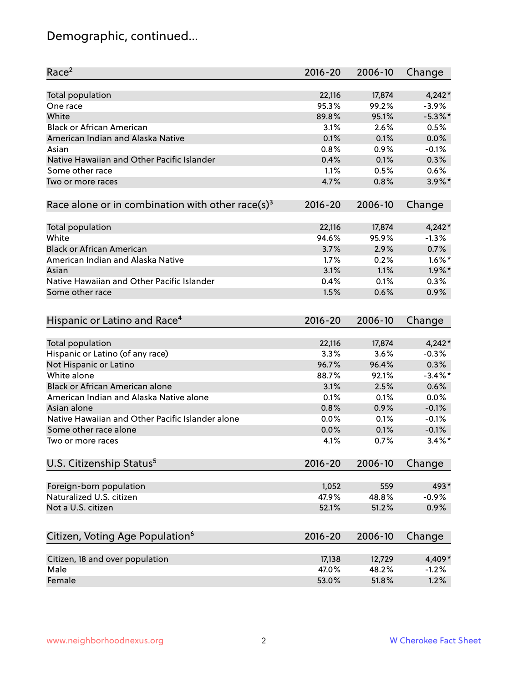# Demographic, continued...

| Race <sup>2</sup>                                            | $2016 - 20$  | 2006-10      | Change             |
|--------------------------------------------------------------|--------------|--------------|--------------------|
| <b>Total population</b>                                      | 22,116       | 17,874       | $4,242*$           |
| One race                                                     | 95.3%        | 99.2%        | $-3.9%$            |
| White                                                        | 89.8%        | 95.1%        | $-5.3\%$ *         |
| <b>Black or African American</b>                             | 3.1%         | 2.6%         | 0.5%               |
| American Indian and Alaska Native                            | 0.1%         | 0.1%         | 0.0%               |
| Asian                                                        | 0.8%         | 0.9%         | $-0.1%$            |
| Native Hawaiian and Other Pacific Islander                   | 0.4%         | 0.1%         | 0.3%               |
| Some other race                                              | 1.1%         | 0.5%         | 0.6%               |
| Two or more races                                            | 4.7%         | 0.8%         | $3.9\%$ *          |
| Race alone or in combination with other race(s) <sup>3</sup> | $2016 - 20$  | 2006-10      | Change             |
|                                                              |              |              |                    |
| Total population                                             | 22,116       | 17,874       | $4,242*$           |
| White                                                        | 94.6%        | 95.9%        | $-1.3%$            |
| <b>Black or African American</b>                             | 3.7%         | 2.9%         | 0.7%               |
| American Indian and Alaska Native                            | 1.7%         | 0.2%         | $1.6\%$ *          |
| Asian                                                        | 3.1%         | 1.1%         | $1.9\%$ *          |
| Native Hawaiian and Other Pacific Islander                   | 0.4%         | 0.1%         | 0.3%               |
| Some other race                                              | 1.5%         | 0.6%         | 0.9%               |
|                                                              |              |              |                    |
| Hispanic or Latino and Race <sup>4</sup>                     | $2016 - 20$  | 2006-10      | Change             |
| <b>Total population</b>                                      | 22,116       | 17,874       | $4,242*$           |
| Hispanic or Latino (of any race)                             | 3.3%         | 3.6%         | $-0.3%$            |
| Not Hispanic or Latino                                       | 96.7%        | 96.4%        | 0.3%               |
| White alone                                                  | 88.7%        | 92.1%        | $-3.4\%$ *         |
| Black or African American alone                              | 3.1%         | 2.5%         | 0.6%               |
| American Indian and Alaska Native alone                      |              |              |                    |
| Asian alone                                                  | 0.1%<br>0.8% | 0.1%<br>0.9% | 0.0%<br>$-0.1%$    |
| Native Hawaiian and Other Pacific Islander alone             |              |              |                    |
| Some other race alone                                        | 0.0%         | 0.1%         | $-0.1%$<br>$-0.1%$ |
|                                                              | 0.0%         | 0.1%         |                    |
| Two or more races                                            | 4.1%         | 0.7%         | $3.4\%$ *          |
| U.S. Citizenship Status <sup>5</sup>                         | $2016 - 20$  | 2006-10      | Change             |
| Foreign-born population                                      | 1,052        | 559          | 493*               |
| Naturalized U.S. citizen                                     | 47.9%        | 48.8%        | $-0.9%$            |
| Not a U.S. citizen                                           | 52.1%        | 51.2%        | 0.9%               |
|                                                              |              |              |                    |
| Citizen, Voting Age Population <sup>6</sup>                  | $2016 - 20$  | 2006-10      | Change             |
| Citizen, 18 and over population                              | 17,138       | 12,729       | 4,409*             |
| Male                                                         | 47.0%        | 48.2%        | $-1.2%$            |
| Female                                                       | 53.0%        | 51.8%        | 1.2%               |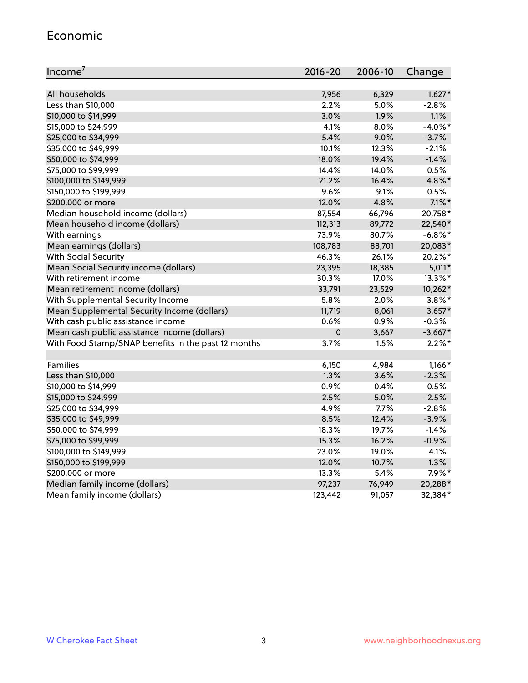#### Economic

| Income <sup>7</sup>                                 | 2016-20   | 2006-10 | Change     |
|-----------------------------------------------------|-----------|---------|------------|
|                                                     |           |         |            |
| All households                                      | 7,956     | 6,329   | $1,627*$   |
| Less than \$10,000                                  | 2.2%      | 5.0%    | $-2.8%$    |
| \$10,000 to \$14,999                                | 3.0%      | 1.9%    | 1.1%       |
| \$15,000 to \$24,999                                | 4.1%      | 8.0%    | $-4.0\%$ * |
| \$25,000 to \$34,999                                | 5.4%      | 9.0%    | $-3.7%$    |
| \$35,000 to \$49,999                                | 10.1%     | 12.3%   | $-2.1%$    |
| \$50,000 to \$74,999                                | 18.0%     | 19.4%   | $-1.4%$    |
| \$75,000 to \$99,999                                | 14.4%     | 14.0%   | 0.5%       |
| \$100,000 to \$149,999                              | 21.2%     | 16.4%   | 4.8%*      |
| \$150,000 to \$199,999                              | 9.6%      | 9.1%    | 0.5%       |
| \$200,000 or more                                   | 12.0%     | 4.8%    | $7.1\%$ *  |
| Median household income (dollars)                   | 87,554    | 66,796  | 20,758*    |
| Mean household income (dollars)                     | 112,313   | 89,772  | 22,540*    |
| With earnings                                       | 73.9%     | 80.7%   | $-6.8\%$ * |
| Mean earnings (dollars)                             | 108,783   | 88,701  | 20,083*    |
| <b>With Social Security</b>                         | 46.3%     | 26.1%   | 20.2%*     |
| Mean Social Security income (dollars)               | 23,395    | 18,385  | $5,011*$   |
| With retirement income                              | 30.3%     | 17.0%   | 13.3%*     |
| Mean retirement income (dollars)                    | 33,791    | 23,529  | 10,262*    |
| With Supplemental Security Income                   | 5.8%      | 2.0%    | $3.8\%$ *  |
| Mean Supplemental Security Income (dollars)         | 11,719    | 8,061   | $3,657*$   |
| With cash public assistance income                  | 0.6%      | 0.9%    | $-0.3%$    |
| Mean cash public assistance income (dollars)        | $\pmb{0}$ | 3,667   | $-3,667*$  |
| With Food Stamp/SNAP benefits in the past 12 months | 3.7%      | 1.5%    | $2.2\%$ *  |
|                                                     |           |         |            |
| Families                                            | 6,150     | 4,984   | $1,166*$   |
| Less than \$10,000                                  | 1.3%      | 3.6%    | $-2.3%$    |
| \$10,000 to \$14,999                                | 0.9%      | 0.4%    | 0.5%       |
| \$15,000 to \$24,999                                | 2.5%      | 5.0%    | $-2.5%$    |
| \$25,000 to \$34,999                                | 4.9%      | 7.7%    | $-2.8%$    |
| \$35,000 to \$49,999                                | 8.5%      | 12.4%   | $-3.9%$    |
| \$50,000 to \$74,999                                | 18.3%     | 19.7%   | $-1.4%$    |
| \$75,000 to \$99,999                                | 15.3%     | 16.2%   | $-0.9%$    |
| \$100,000 to \$149,999                              | 23.0%     | 19.0%   | 4.1%       |
| \$150,000 to \$199,999                              | 12.0%     | 10.7%   | 1.3%       |
| \$200,000 or more                                   | 13.3%     | 5.4%    | $7.9\%*$   |
| Median family income (dollars)                      | 97,237    | 76,949  | 20,288*    |
| Mean family income (dollars)                        | 123,442   | 91,057  | 32,384*    |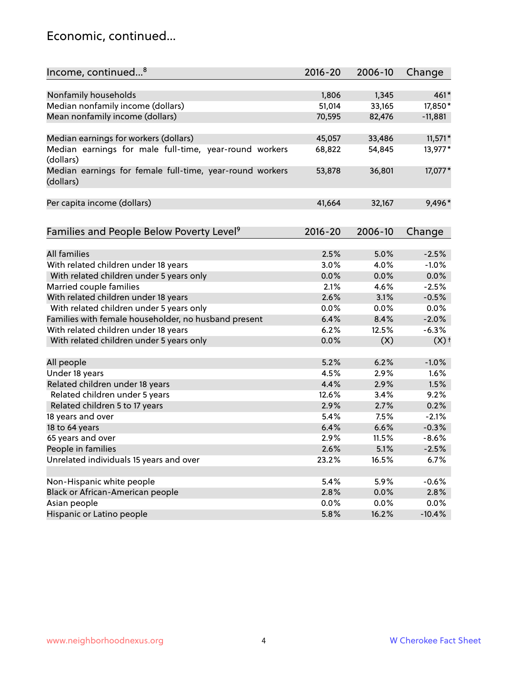### Economic, continued...

| Income, continued <sup>8</sup>                           | $2016 - 20$ | 2006-10 | Change             |
|----------------------------------------------------------|-------------|---------|--------------------|
|                                                          |             |         |                    |
| Nonfamily households                                     | 1,806       | 1,345   | $461*$             |
| Median nonfamily income (dollars)                        | 51,014      | 33,165  | 17,850*            |
| Mean nonfamily income (dollars)                          | 70,595      | 82,476  | $-11,881$          |
|                                                          |             |         |                    |
| Median earnings for workers (dollars)                    | 45,057      | 33,486  | $11,571*$          |
| Median earnings for male full-time, year-round workers   | 68,822      | 54,845  | 13,977*            |
| (dollars)                                                |             |         |                    |
| Median earnings for female full-time, year-round workers | 53,878      | 36,801  | 17,077*            |
| (dollars)                                                |             |         |                    |
|                                                          |             |         |                    |
| Per capita income (dollars)                              | 41,664      | 32,167  | 9,496*             |
|                                                          |             |         |                    |
|                                                          |             |         |                    |
| Families and People Below Poverty Level <sup>9</sup>     | $2016 - 20$ | 2006-10 | Change             |
|                                                          |             |         |                    |
| <b>All families</b>                                      | 2.5%        | 5.0%    | $-2.5%$            |
| With related children under 18 years                     | 3.0%        | 4.0%    | $-1.0%$            |
| With related children under 5 years only                 | 0.0%        | 0.0%    | 0.0%               |
| Married couple families                                  | 2.1%        | 4.6%    | $-2.5%$            |
| With related children under 18 years                     | 2.6%        | 3.1%    | $-0.5%$            |
| With related children under 5 years only                 | 0.0%        | 0.0%    | 0.0%               |
| Families with female householder, no husband present     | 6.4%        | 8.4%    | $-2.0%$            |
| With related children under 18 years                     | 6.2%        | 12.5%   | $-6.3%$            |
| With related children under 5 years only                 | 0.0%        | (X)     | $(X)$ <sup>+</sup> |
|                                                          |             |         |                    |
| All people                                               | 5.2%        | 6.2%    | $-1.0%$            |
| Under 18 years                                           | 4.5%        | 2.9%    | 1.6%               |
| Related children under 18 years                          | 4.4%        | 2.9%    | 1.5%               |
| Related children under 5 years                           | 12.6%       | 3.4%    | 9.2%               |
| Related children 5 to 17 years                           | 2.9%        | 2.7%    | 0.2%               |
| 18 years and over                                        | 5.4%        | 7.5%    | $-2.1%$            |
| 18 to 64 years                                           | 6.4%        | 6.6%    | $-0.3%$            |
| 65 years and over                                        | 2.9%        | 11.5%   | $-8.6%$            |
| People in families                                       | 2.6%        | 5.1%    | $-2.5%$            |
| Unrelated individuals 15 years and over                  | 23.2%       | 16.5%   | 6.7%               |
|                                                          |             |         |                    |
| Non-Hispanic white people                                | 5.4%        | 5.9%    | $-0.6%$            |
| Black or African-American people                         | 2.8%        | 0.0%    | 2.8%               |
| Asian people                                             | 0.0%        | 0.0%    | 0.0%               |
| Hispanic or Latino people                                | 5.8%        | 16.2%   | $-10.4%$           |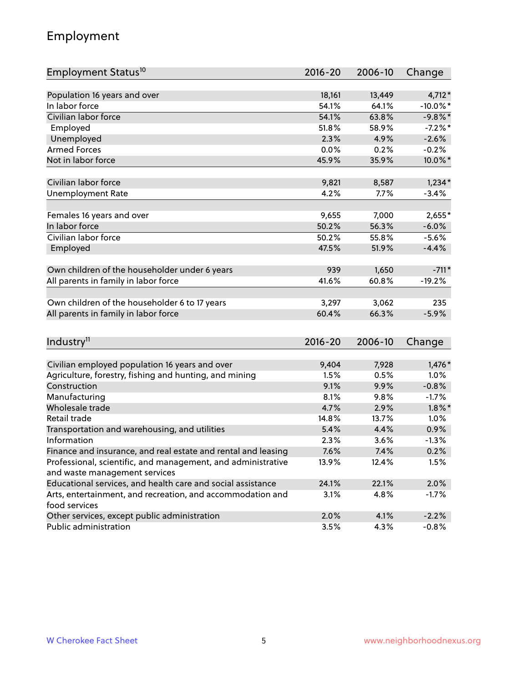# Employment

| Employment Status <sup>10</sup>                                                               | $2016 - 20$   | 2006-10      | Change               |
|-----------------------------------------------------------------------------------------------|---------------|--------------|----------------------|
|                                                                                               |               |              |                      |
| Population 16 years and over                                                                  | 18,161        | 13,449       | 4,712*               |
| In labor force                                                                                | 54.1%         | 64.1%        | $-10.0\%$ *          |
| Civilian labor force                                                                          | 54.1%         | 63.8%        | $-9.8\%$ *           |
| Employed                                                                                      | 51.8%         | 58.9%        | $-7.2%$ *            |
| Unemployed                                                                                    | 2.3%          | 4.9%         | $-2.6%$              |
| <b>Armed Forces</b>                                                                           | 0.0%          | 0.2%         | $-0.2%$              |
| Not in labor force                                                                            | 45.9%         | 35.9%        | 10.0%*               |
| Civilian labor force                                                                          | 9,821         | 8,587        | $1,234*$             |
| <b>Unemployment Rate</b>                                                                      | 4.2%          | 7.7%         | $-3.4%$              |
|                                                                                               |               |              |                      |
| Females 16 years and over                                                                     | 9,655         | 7,000        | $2,655*$             |
| In labor force                                                                                | 50.2%         | 56.3%        | $-6.0%$              |
| Civilian labor force                                                                          | 50.2%         | 55.8%        | $-5.6%$              |
| Employed                                                                                      | 47.5%         | 51.9%        | $-4.4%$              |
| Own children of the householder under 6 years                                                 | 939           | 1,650        | $-711*$              |
| All parents in family in labor force                                                          | 41.6%         | 60.8%        | $-19.2%$             |
|                                                                                               |               |              |                      |
| Own children of the householder 6 to 17 years                                                 | 3,297         | 3,062        | 235                  |
| All parents in family in labor force                                                          | 60.4%         | 66.3%        | $-5.9%$              |
|                                                                                               |               |              |                      |
| Industry <sup>11</sup>                                                                        | $2016 - 20$   | 2006-10      | Change               |
|                                                                                               |               |              |                      |
| Civilian employed population 16 years and over                                                | 9,404<br>1.5% | 7,928        | $1,476*$             |
| Agriculture, forestry, fishing and hunting, and mining<br>Construction                        | 9.1%          | 0.5%<br>9.9% | 1.0%                 |
|                                                                                               | 8.1%          |              | $-0.8%$              |
| Manufacturing<br>Wholesale trade                                                              | 4.7%          | 9.8%<br>2.9% | $-1.7%$<br>$1.8\%$ * |
| Retail trade                                                                                  | 14.8%         | 13.7%        | 1.0%                 |
|                                                                                               | 5.4%          | 4.4%         | 0.9%                 |
| Transportation and warehousing, and utilities<br>Information                                  |               |              | $-1.3%$              |
|                                                                                               | 2.3%          | 3.6%<br>7.4% |                      |
| Finance and insurance, and real estate and rental and leasing                                 | 7.6%          |              | 0.2%                 |
| Professional, scientific, and management, and administrative<br>and waste management services | 13.9%         | 12.4%        | 1.5%                 |
| Educational services, and health care and social assistance                                   | 24.1%         | 22.1%        | 2.0%                 |
| Arts, entertainment, and recreation, and accommodation and                                    | 3.1%          | 4.8%         | $-1.7%$              |
| food services                                                                                 |               |              |                      |
| Other services, except public administration                                                  | 2.0%          | 4.1%         | $-2.2%$              |
| Public administration                                                                         | 3.5%          | 4.3%         | $-0.8%$              |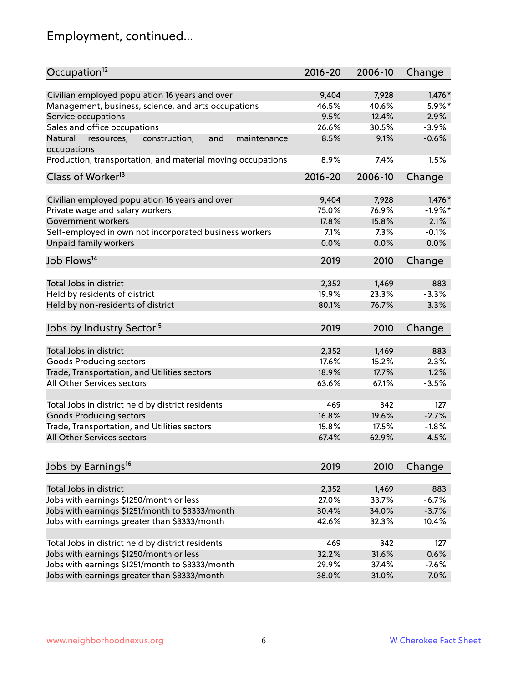# Employment, continued...

| Occupation <sup>12</sup>                                                    | $2016 - 20$ | 2006-10 | Change    |
|-----------------------------------------------------------------------------|-------------|---------|-----------|
| Civilian employed population 16 years and over                              | 9,404       | 7,928   | $1,476*$  |
| Management, business, science, and arts occupations                         | 46.5%       | 40.6%   | $5.9\%$ * |
| Service occupations                                                         | 9.5%        | 12.4%   | $-2.9%$   |
| Sales and office occupations                                                | 26.6%       | 30.5%   | $-3.9%$   |
|                                                                             |             |         | $-0.6%$   |
| Natural<br>and<br>resources,<br>construction,<br>maintenance<br>occupations | 8.5%        | 9.1%    |           |
| Production, transportation, and material moving occupations                 | 8.9%        | 7.4%    | 1.5%      |
| Class of Worker <sup>13</sup>                                               | $2016 - 20$ | 2006-10 | Change    |
|                                                                             |             |         |           |
| Civilian employed population 16 years and over                              | 9,404       | 7,928   | $1,476*$  |
| Private wage and salary workers                                             | 75.0%       | 76.9%   | $-1.9%$ * |
| Government workers                                                          | 17.8%       | 15.8%   | 2.1%      |
| Self-employed in own not incorporated business workers                      | 7.1%        | 7.3%    | $-0.1%$   |
| <b>Unpaid family workers</b>                                                | 0.0%        | 0.0%    | 0.0%      |
| Job Flows <sup>14</sup>                                                     | 2019        | 2010    | Change    |
|                                                                             |             |         |           |
| Total Jobs in district                                                      | 2,352       | 1,469   | 883       |
| Held by residents of district                                               | 19.9%       | 23.3%   | $-3.3%$   |
| Held by non-residents of district                                           | 80.1%       | 76.7%   | 3.3%      |
| Jobs by Industry Sector <sup>15</sup>                                       | 2019        | 2010    | Change    |
|                                                                             |             |         |           |
| Total Jobs in district                                                      | 2,352       | 1,469   | 883       |
| Goods Producing sectors                                                     | 17.6%       | 15.2%   | 2.3%      |
| Trade, Transportation, and Utilities sectors                                | 18.9%       | 17.7%   | 1.2%      |
| All Other Services sectors                                                  | 63.6%       | 67.1%   | $-3.5%$   |
| Total Jobs in district held by district residents                           | 469         | 342     | 127       |
| <b>Goods Producing sectors</b>                                              | 16.8%       | 19.6%   | $-2.7%$   |
| Trade, Transportation, and Utilities sectors                                | 15.8%       | 17.5%   | $-1.8%$   |
| All Other Services sectors                                                  | 67.4%       | 62.9%   | 4.5%      |
|                                                                             |             |         |           |
| Jobs by Earnings <sup>16</sup>                                              | 2019        | 2010    | Change    |
| Total Jobs in district                                                      |             |         |           |
|                                                                             | 2,352       | 1,469   | 883       |
| Jobs with earnings \$1250/month or less                                     | 27.0%       | 33.7%   | $-6.7%$   |
| Jobs with earnings \$1251/month to \$3333/month                             | 30.4%       | 34.0%   | $-3.7%$   |
| Jobs with earnings greater than \$3333/month                                | 42.6%       | 32.3%   | 10.4%     |
| Total Jobs in district held by district residents                           | 469         | 342     | 127       |
| Jobs with earnings \$1250/month or less                                     | 32.2%       | 31.6%   | 0.6%      |
| Jobs with earnings \$1251/month to \$3333/month                             | 29.9%       | 37.4%   | $-7.6%$   |
| Jobs with earnings greater than \$3333/month                                | 38.0%       | 31.0%   | 7.0%      |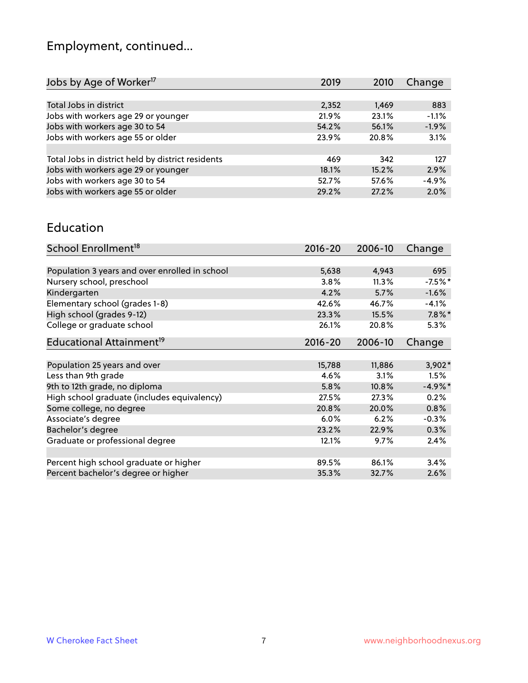# Employment, continued...

| Jobs by Age of Worker <sup>17</sup>               | 2019  | 2010  | Change  |
|---------------------------------------------------|-------|-------|---------|
|                                                   |       |       |         |
| Total Jobs in district                            | 2,352 | 1,469 | 883     |
| Jobs with workers age 29 or younger               | 21.9% | 23.1% | $-1.1%$ |
| Jobs with workers age 30 to 54                    | 54.2% | 56.1% | $-1.9%$ |
| Jobs with workers age 55 or older                 | 23.9% | 20.8% | 3.1%    |
|                                                   |       |       |         |
| Total Jobs in district held by district residents | 469   | 342   | 127     |
| Jobs with workers age 29 or younger               | 18.1% | 15.2% | 2.9%    |
| Jobs with workers age 30 to 54                    | 52.7% | 57.6% | $-4.9%$ |
| Jobs with workers age 55 or older                 | 29.2% | 27.2% | 2.0%    |

#### Education

| School Enrollment <sup>18</sup>                | $2016 - 20$ | 2006-10 | Change    |
|------------------------------------------------|-------------|---------|-----------|
|                                                |             |         |           |
| Population 3 years and over enrolled in school | 5,638       | 4,943   | 695       |
| Nursery school, preschool                      | 3.8%        | 11.3%   | $-7.5%$ * |
| Kindergarten                                   | 4.2%        | 5.7%    | $-1.6%$   |
| Elementary school (grades 1-8)                 | 42.6%       | 46.7%   | $-4.1%$   |
| High school (grades 9-12)                      | 23.3%       | 15.5%   | $7.8\%$ * |
| College or graduate school                     | 26.1%       | 20.8%   | 5.3%      |
| Educational Attainment <sup>19</sup>           | $2016 - 20$ | 2006-10 | Change    |
|                                                |             |         |           |
| Population 25 years and over                   | 15,788      | 11,886  | $3,902*$  |
| Less than 9th grade                            | 4.6%        | 3.1%    | 1.5%      |
| 9th to 12th grade, no diploma                  | 5.8%        | 10.8%   | $-4.9%$ * |
| High school graduate (includes equivalency)    | 27.5%       | 27.3%   | 0.2%      |
| Some college, no degree                        | 20.8%       | 20.0%   | 0.8%      |
| Associate's degree                             | $6.0\%$     | 6.2%    | $-0.3%$   |
| Bachelor's degree                              | 23.2%       | 22.9%   | 0.3%      |
| Graduate or professional degree                | 12.1%       | 9.7%    | 2.4%      |
|                                                |             |         |           |
| Percent high school graduate or higher         | 89.5%       | 86.1%   | 3.4%      |
| Percent bachelor's degree or higher            | 35.3%       | 32.7%   | 2.6%      |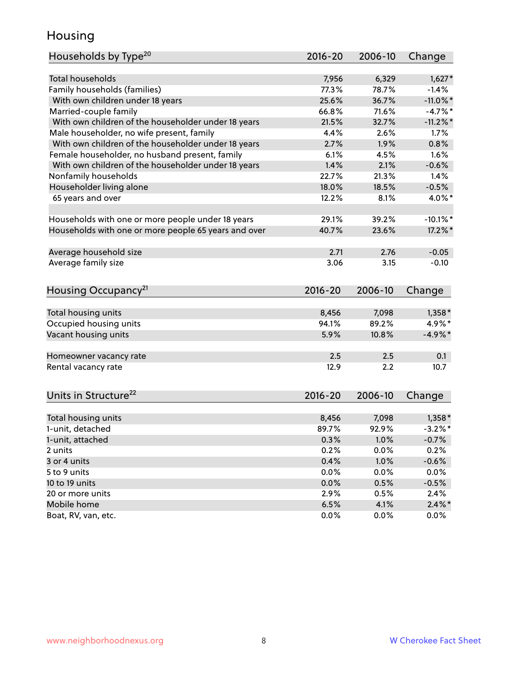### Housing

| Households by Type <sup>20</sup>                     | 2016-20     | 2006-10      | Change      |
|------------------------------------------------------|-------------|--------------|-------------|
|                                                      |             |              |             |
| <b>Total households</b>                              | 7,956       | 6,329        | $1,627*$    |
| Family households (families)                         | 77.3%       | 78.7%        | $-1.4%$     |
| With own children under 18 years                     | 25.6%       | 36.7%        | $-11.0\%$ * |
| Married-couple family                                | 66.8%       | 71.6%        | $-4.7%$     |
| With own children of the householder under 18 years  | 21.5%       | 32.7%        | $-11.2\%$ * |
| Male householder, no wife present, family            | 4.4%        | 2.6%         | 1.7%        |
| With own children of the householder under 18 years  | 2.7%        | 1.9%         | 0.8%        |
| Female householder, no husband present, family       | 6.1%        | 4.5%         | 1.6%        |
| With own children of the householder under 18 years  | 1.4%        | 2.1%         | $-0.6%$     |
| Nonfamily households                                 | 22.7%       | 21.3%        | 1.4%        |
| Householder living alone                             | 18.0%       | 18.5%        | $-0.5%$     |
| 65 years and over                                    | 12.2%       | 8.1%         | 4.0%*       |
| Households with one or more people under 18 years    | 29.1%       | 39.2%        | $-10.1\%$ * |
| Households with one or more people 65 years and over | 40.7%       | 23.6%        | 17.2%*      |
| Average household size                               | 2.71        | 2.76         | $-0.05$     |
| Average family size                                  | 3.06        | 3.15         | $-0.10$     |
|                                                      |             |              |             |
| Housing Occupancy <sup>21</sup>                      | $2016 - 20$ | 2006-10      | Change      |
| Total housing units                                  | 8,456       | 7,098        | $1,358*$    |
| Occupied housing units                               | 94.1%       | 89.2%        | 4.9%*       |
| Vacant housing units                                 | 5.9%        | 10.8%        | $-4.9%$ *   |
|                                                      |             |              |             |
| Homeowner vacancy rate                               | 2.5         | 2.5          | 0.1         |
| Rental vacancy rate                                  | 12.9        | 2.2          | 10.7        |
| Units in Structure <sup>22</sup>                     | $2016 - 20$ | 2006-10      | Change      |
| Total housing units                                  | 8,456       | 7,098        | $1,358*$    |
| 1-unit, detached                                     | 89.7%       | 92.9%        | $-3.2%$ *   |
|                                                      |             |              |             |
| 1-unit, attached                                     | 0.3%        | 1.0%<br>0.0% | $-0.7%$     |
| 2 units                                              | 0.2%        |              | 0.2%        |
| 3 or 4 units                                         | 0.4%        | 1.0%         | $-0.6%$     |
| 5 to 9 units                                         | 0.0%        | 0.0%         | 0.0%        |
| 10 to 19 units                                       | 0.0%        | 0.5%         | $-0.5%$     |
| 20 or more units                                     | 2.9%        | 0.5%         | 2.4%        |
| Mobile home                                          | 6.5%        | 4.1%         | $2.4\%$ *   |
| Boat, RV, van, etc.                                  | 0.0%        | $0.0\%$      | $0.0\%$     |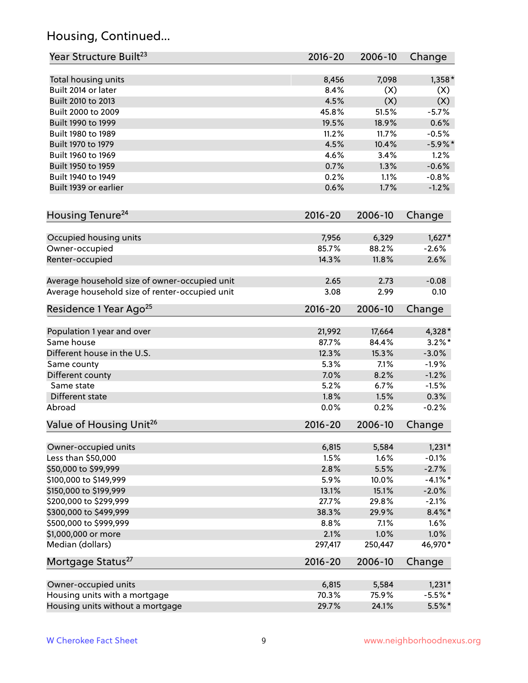# Housing, Continued...

| Year Structure Built <sup>23</sup>             | 2016-20     | 2006-10 | Change    |
|------------------------------------------------|-------------|---------|-----------|
| Total housing units                            | 8,456       | 7,098   | $1,358*$  |
| Built 2014 or later                            | 8.4%        | (X)     | (X)       |
| Built 2010 to 2013                             | 4.5%        | (X)     | (X)       |
| Built 2000 to 2009                             | 45.8%       | 51.5%   | $-5.7%$   |
| Built 1990 to 1999                             | 19.5%       | 18.9%   | 0.6%      |
| Built 1980 to 1989                             | 11.2%       | 11.7%   | $-0.5%$   |
| Built 1970 to 1979                             | 4.5%        | 10.4%   | $-5.9%$ * |
| Built 1960 to 1969                             | 4.6%        | 3.4%    | 1.2%      |
| Built 1950 to 1959                             | 0.7%        | 1.3%    | $-0.6%$   |
| Built 1940 to 1949                             | 0.2%        | 1.1%    | $-0.8%$   |
| Built 1939 or earlier                          | 0.6%        | 1.7%    | $-1.2%$   |
|                                                |             |         |           |
| Housing Tenure <sup>24</sup>                   | $2016 - 20$ | 2006-10 | Change    |
| Occupied housing units                         | 7,956       | 6,329   | $1,627*$  |
| Owner-occupied                                 | 85.7%       | 88.2%   | $-2.6%$   |
| Renter-occupied                                | 14.3%       | 11.8%   | 2.6%      |
| Average household size of owner-occupied unit  | 2.65        | 2.73    | $-0.08$   |
| Average household size of renter-occupied unit | 3.08        | 2.99    | 0.10      |
| Residence 1 Year Ago <sup>25</sup>             | $2016 - 20$ | 2006-10 | Change    |
|                                                |             |         |           |
| Population 1 year and over                     | 21,992      | 17,664  | 4,328*    |
| Same house                                     | 87.7%       | 84.4%   | $3.2\%$ * |
| Different house in the U.S.                    | 12.3%       | 15.3%   | $-3.0%$   |
| Same county                                    | 5.3%        | 7.1%    | $-1.9%$   |
| Different county                               | 7.0%        | 8.2%    | $-1.2%$   |
| Same state                                     | 5.2%        | 6.7%    | $-1.5%$   |
| Different state                                | 1.8%        | 1.5%    | 0.3%      |
| Abroad                                         | 0.0%        | 0.2%    | $-0.2%$   |
| Value of Housing Unit <sup>26</sup>            | $2016 - 20$ | 2006-10 | Change    |
| Owner-occupied units                           | 6,815       | 5,584   | $1,231*$  |
| Less than \$50,000                             | 1.5%        | 1.6%    | $-0.1%$   |
| \$50,000 to \$99,999                           | 2.8%        | 5.5%    | $-2.7%$   |
| \$100,000 to \$149,999                         | 5.9%        | 10.0%   | $-4.1%$ * |
| \$150,000 to \$199,999                         | 13.1%       | 15.1%   | $-2.0%$   |
| \$200,000 to \$299,999                         | 27.7%       | 29.8%   | $-2.1%$   |
| \$300,000 to \$499,999                         | 38.3%       | 29.9%   | $8.4\%$ * |
| \$500,000 to \$999,999                         | 8.8%        | 7.1%    | 1.6%      |
| \$1,000,000 or more                            | 2.1%        | 1.0%    | 1.0%      |
| Median (dollars)                               | 297,417     | 250,447 | 46,970*   |
| Mortgage Status <sup>27</sup>                  | $2016 - 20$ | 2006-10 | Change    |
| Owner-occupied units                           | 6,815       | 5,584   | $1,231*$  |
| Housing units with a mortgage                  | 70.3%       | 75.9%   | $-5.5%$ * |
| Housing units without a mortgage               | 29.7%       | 24.1%   | $5.5%$ *  |
|                                                |             |         |           |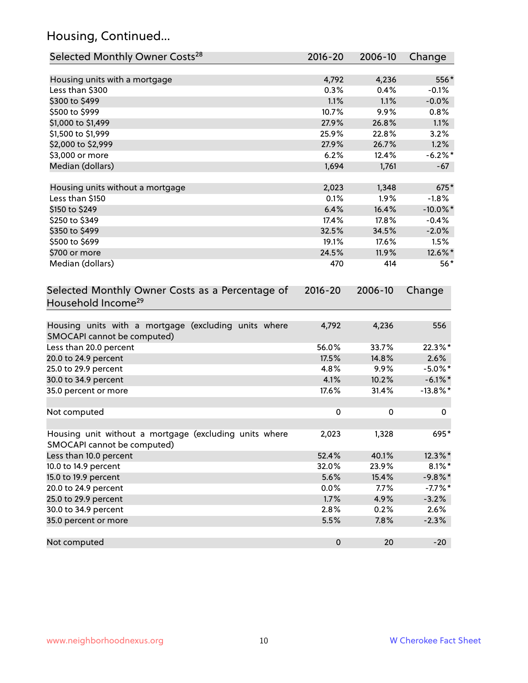# Housing, Continued...

| Selected Monthly Owner Costs <sup>28</sup>                                            | 2016-20   | 2006-10 | Change      |
|---------------------------------------------------------------------------------------|-----------|---------|-------------|
| Housing units with a mortgage                                                         | 4,792     | 4,236   | 556*        |
| Less than \$300                                                                       | 0.3%      | 0.4%    | $-0.1%$     |
| \$300 to \$499                                                                        | 1.1%      | 1.1%    | $-0.0%$     |
| \$500 to \$999                                                                        | 10.7%     | 9.9%    | 0.8%        |
| \$1,000 to \$1,499                                                                    | 27.9%     | 26.8%   | 1.1%        |
| \$1,500 to \$1,999                                                                    | 25.9%     | 22.8%   | 3.2%        |
| \$2,000 to \$2,999                                                                    | 27.9%     | 26.7%   | 1.2%        |
| \$3,000 or more                                                                       | 6.2%      | 12.4%   | $-6.2%$     |
| Median (dollars)                                                                      | 1,694     | 1,761   | $-67$       |
| Housing units without a mortgage                                                      | 2,023     | 1,348   | 675*        |
| Less than \$150                                                                       | 0.1%      | 1.9%    | $-1.8%$     |
| \$150 to \$249                                                                        | 6.4%      | 16.4%   | $-10.0\%$ * |
| \$250 to \$349                                                                        | 17.4%     | 17.8%   | $-0.4%$     |
| \$350 to \$499                                                                        | 32.5%     | 34.5%   | $-2.0\%$    |
| \$500 to \$699                                                                        | 19.1%     | 17.6%   | 1.5%        |
| \$700 or more                                                                         | 24.5%     | 11.9%   | 12.6%*      |
| Median (dollars)                                                                      | 470       | 414     | $56*$       |
| Household Income <sup>29</sup>                                                        |           |         |             |
| Housing units with a mortgage (excluding units where<br>SMOCAPI cannot be computed)   | 4,792     | 4,236   | 556         |
| Less than 20.0 percent                                                                | 56.0%     | 33.7%   | 22.3%*      |
| 20.0 to 24.9 percent                                                                  | 17.5%     | 14.8%   | 2.6%        |
| 25.0 to 29.9 percent                                                                  | 4.8%      | 9.9%    | $-5.0\%$ *  |
| 30.0 to 34.9 percent                                                                  | 4.1%      | 10.2%   | $-6.1\%$ *  |
| 35.0 percent or more                                                                  | 17.6%     | 31.4%   | $-13.8\%$ * |
| Not computed                                                                          | $\pmb{0}$ | 0       | 0           |
| Housing unit without a mortgage (excluding units where<br>SMOCAPI cannot be computed) | 2,023     | 1,328   | 695*        |
| Less than 10.0 percent                                                                | 52.4%     | 40.1%   | 12.3%*      |
| 10.0 to 14.9 percent                                                                  | 32.0%     | 23.9%   | $8.1\%$ *   |
| 15.0 to 19.9 percent                                                                  | 5.6%      | 15.4%   | $-9.8\%$ *  |
| 20.0 to 24.9 percent                                                                  | 0.0%      | 7.7%    | $-7.7\%$ *  |
| 25.0 to 29.9 percent                                                                  | 1.7%      | 4.9%    | $-3.2%$     |
| 30.0 to 34.9 percent                                                                  | 2.8%      | 0.2%    | 2.6%        |
| 35.0 percent or more                                                                  | 5.5%      | 7.8%    | $-2.3%$     |
| Not computed                                                                          | $\pmb{0}$ | 20      | $-20$       |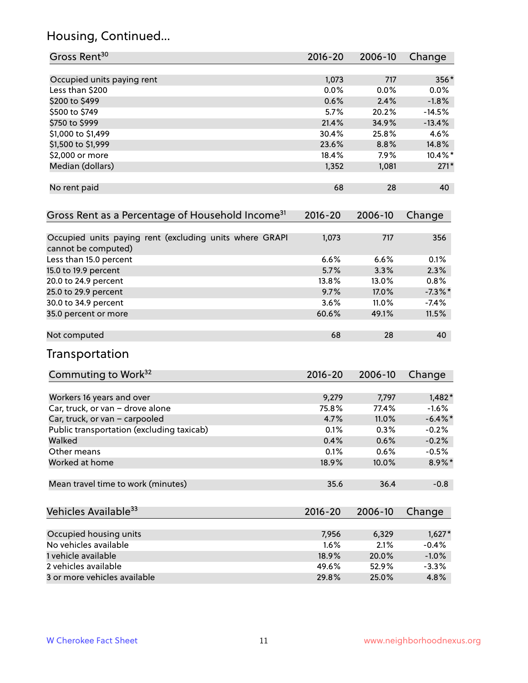# Housing, Continued...

| Gross Rent <sup>30</sup>                                                       | 2016-20     | 2006-10 | Change     |
|--------------------------------------------------------------------------------|-------------|---------|------------|
| Occupied units paying rent                                                     | 1,073       | 717     | 356*       |
| Less than \$200                                                                | 0.0%        | 0.0%    | 0.0%       |
| \$200 to \$499                                                                 | 0.6%        | 2.4%    | $-1.8%$    |
| \$500 to \$749                                                                 | 5.7%        | 20.2%   | $-14.5%$   |
| \$750 to \$999                                                                 | 21.4%       | 34.9%   | $-13.4%$   |
| \$1,000 to \$1,499                                                             | 30.4%       | 25.8%   | 4.6%       |
| \$1,500 to \$1,999                                                             | 23.6%       | 8.8%    | 14.8%      |
| \$2,000 or more                                                                | 18.4%       | 7.9%    | 10.4%*     |
| Median (dollars)                                                               | 1,352       | 1,081   | $271*$     |
| No rent paid                                                                   | 68          | 28      | 40         |
| Gross Rent as a Percentage of Household Income <sup>31</sup>                   | $2016 - 20$ | 2006-10 | Change     |
| Occupied units paying rent (excluding units where GRAPI<br>cannot be computed) | 1,073       | 717     | 356        |
| Less than 15.0 percent                                                         | 6.6%        | 6.6%    | 0.1%       |
| 15.0 to 19.9 percent                                                           | 5.7%        | 3.3%    | 2.3%       |
| 20.0 to 24.9 percent                                                           | 13.8%       | 13.0%   | 0.8%       |
| 25.0 to 29.9 percent                                                           | 9.7%        | 17.0%   | $-7.3\%$ * |
| 30.0 to 34.9 percent                                                           | 3.6%        | 11.0%   | $-7.4%$    |
| 35.0 percent or more                                                           | 60.6%       | 49.1%   | 11.5%      |
| Not computed                                                                   | 68          | 28      | 40         |
| Transportation                                                                 |             |         |            |
| Commuting to Work <sup>32</sup>                                                | 2016-20     | 2006-10 | Change     |
| Workers 16 years and over                                                      | 9,279       | 7,797   | $1,482*$   |
| Car, truck, or van - drove alone                                               | 75.8%       | 77.4%   | $-1.6%$    |
| Car, truck, or van - carpooled                                                 | 4.7%        | 11.0%   | $-6.4\%$ * |
| Public transportation (excluding taxicab)                                      | 0.1%        | 0.3%    | $-0.2%$    |
| Walked                                                                         | 0.4%        | 0.6%    | $-0.2%$    |
| Other means                                                                    | 0.1%        | 0.6%    | $-0.5%$    |
| Worked at home                                                                 | 18.9%       | 10.0%   | 8.9%*      |
| Mean travel time to work (minutes)                                             | 35.6        | 36.4    | $-0.8$     |
| Vehicles Available <sup>33</sup>                                               | 2016-20     | 2006-10 | Change     |
| Occupied housing units                                                         | 7,956       | 6,329   | $1,627*$   |
| No vehicles available                                                          | 1.6%        | 2.1%    | $-0.4%$    |
| 1 vehicle available                                                            | 18.9%       | 20.0%   | $-1.0%$    |
| 2 vehicles available                                                           | 49.6%       | 52.9%   | $-3.3%$    |
| 3 or more vehicles available                                                   | 29.8%       | 25.0%   | 4.8%       |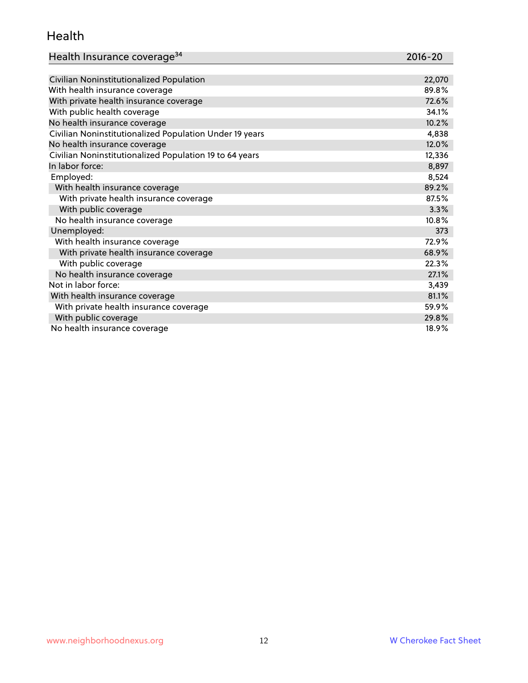#### Health

| Health Insurance coverage <sup>34</sup> | 2016-20 |
|-----------------------------------------|---------|
|-----------------------------------------|---------|

| Civilian Noninstitutionalized Population                | 22,070 |
|---------------------------------------------------------|--------|
| With health insurance coverage                          | 89.8%  |
| With private health insurance coverage                  | 72.6%  |
| With public health coverage                             | 34.1%  |
| No health insurance coverage                            | 10.2%  |
| Civilian Noninstitutionalized Population Under 19 years | 4,838  |
| No health insurance coverage                            | 12.0%  |
| Civilian Noninstitutionalized Population 19 to 64 years | 12,336 |
| In labor force:                                         | 8,897  |
| Employed:                                               | 8,524  |
| With health insurance coverage                          | 89.2%  |
| With private health insurance coverage                  | 87.5%  |
| With public coverage                                    | 3.3%   |
| No health insurance coverage                            | 10.8%  |
| Unemployed:                                             | 373    |
| With health insurance coverage                          | 72.9%  |
| With private health insurance coverage                  | 68.9%  |
| With public coverage                                    | 22.3%  |
| No health insurance coverage                            | 27.1%  |
| Not in labor force:                                     | 3,439  |
| With health insurance coverage                          | 81.1%  |
| With private health insurance coverage                  | 59.9%  |
| With public coverage                                    | 29.8%  |
| No health insurance coverage                            | 18.9%  |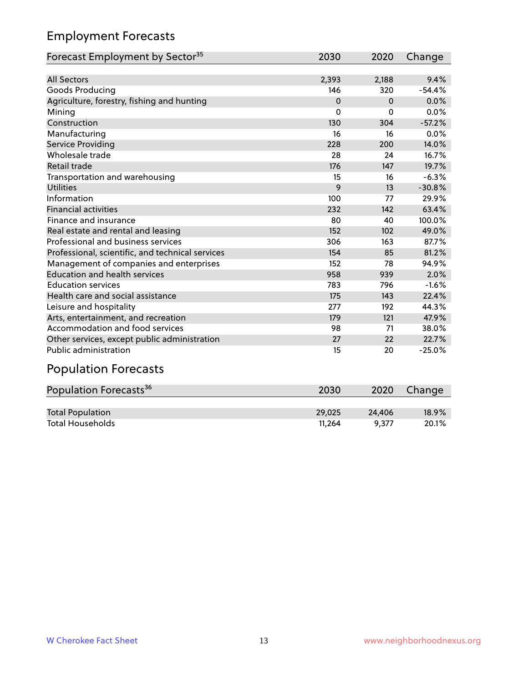# Employment Forecasts

| Forecast Employment by Sector <sup>35</sup>      | 2030     | 2020     | Change   |
|--------------------------------------------------|----------|----------|----------|
|                                                  |          |          |          |
| <b>All Sectors</b>                               | 2,393    | 2,188    | 9.4%     |
| Goods Producing                                  | 146      | 320      | $-54.4%$ |
| Agriculture, forestry, fishing and hunting       | $\Omega$ | $\Omega$ | 0.0%     |
| Mining                                           | 0        | $\Omega$ | 0.0%     |
| Construction                                     | 130      | 304      | $-57.2%$ |
| Manufacturing                                    | 16       | 16       | 0.0%     |
| Service Providing                                | 228      | 200      | 14.0%    |
| Wholesale trade                                  | 28       | 24       | 16.7%    |
| <b>Retail trade</b>                              | 176      | 147      | 19.7%    |
| Transportation and warehousing                   | 15       | 16       | $-6.3%$  |
| <b>Utilities</b>                                 | 9        | 13       | $-30.8%$ |
| Information                                      | 100      | 77       | 29.9%    |
| <b>Financial activities</b>                      | 232      | 142      | 63.4%    |
| Finance and insurance                            | 80       | 40       | 100.0%   |
| Real estate and rental and leasing               | 152      | 102      | 49.0%    |
| Professional and business services               | 306      | 163      | 87.7%    |
| Professional, scientific, and technical services | 154      | 85       | 81.2%    |
| Management of companies and enterprises          | 152      | 78       | 94.9%    |
| <b>Education and health services</b>             | 958      | 939      | 2.0%     |
| <b>Education services</b>                        | 783      | 796      | $-1.6%$  |
| Health care and social assistance                | 175      | 143      | 22.4%    |
| Leisure and hospitality                          | 277      | 192      | 44.3%    |
| Arts, entertainment, and recreation              | 179      | 121      | 47.9%    |
| Accommodation and food services                  | 98       | 71       | 38.0%    |
| Other services, except public administration     | 27       | 22       | 22.7%    |
| Public administration                            | 15       | 20       | $-25.0%$ |

# Population Forecasts

| Population Forecasts <sup>36</sup> | 2030   | 2020   | Change   |
|------------------------------------|--------|--------|----------|
|                                    |        |        |          |
| <b>Total Population</b>            | 29.025 | 24.406 | $18.9\%$ |
| <b>Total Households</b>            | 11.264 | 9.377  | 20.1%    |